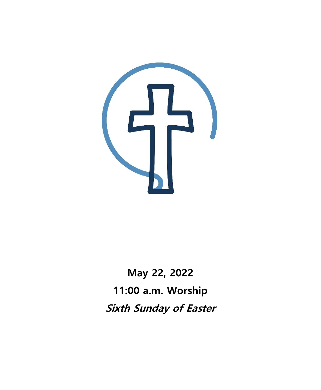

**May 22, 2022 11:00 a.m. Worship Sixth Sunday of Easter**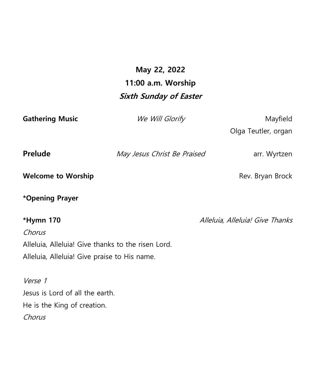## **May 22, 2022 11:00 a.m. Worship Sixth Sunday of Easter**

| <b>Gathering Music</b>                             | We Will Glorify             | Mayfield                        |
|----------------------------------------------------|-----------------------------|---------------------------------|
|                                                    |                             | Olga Teutler, organ             |
| Prelude                                            | May Jesus Christ Be Praised | arr. Wyrtzen                    |
| <b>Welcome to Worship</b>                          |                             | Rev. Bryan Brock                |
| *Opening Prayer                                    |                             |                                 |
| *Hymn 170                                          |                             | Alleluia, Alleluia! Give Thanks |
| Chorus                                             |                             |                                 |
| Alleluia, Alleluia! Give thanks to the risen Lord. |                             |                                 |
| Alleluia, Alleluia! Give praise to His name.       |                             |                                 |
| Verse 1                                            |                             |                                 |
| Jesus is Lord of all the earth.                    |                             |                                 |
| He is the King of creation.                        |                             |                                 |
| Chorus                                             |                             |                                 |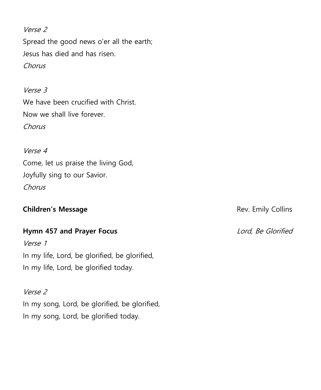Verse 2 Spread the good news o'er all the earth; Jesus has died and has risen. Chorus

Verse 3 We have been crucified with Christ. Now we shall live forever. Chorus

Verse 4 Come, let us praise the living God, Joyfully sing to our Savior. Chorus

#### **Children's Message Rev. Emily Collins**

## **Hymn 457 and Prayer Focus** de Anti-American Material Andrew Lord, Be Glorified

Verse 1 In my life, Lord, be glorified, be glorified, In my life, Lord, be glorified today.

Verse 2 In my song, Lord, be glorified, be glorified, In my song, Lord, be glorified today.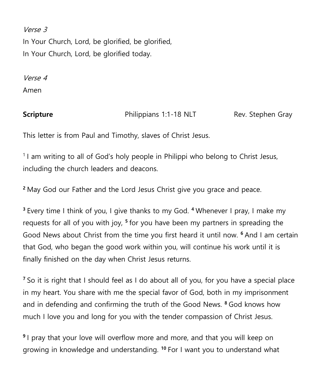Verse 3

In Your Church, Lord, be glorified, be glorified, In Your Church, Lord, be glorified today.

Verse 4 Amen

**Scripture Example 2.1 Philippians 1:1-18 NLT** Rev. Stephen Gray

This letter is from Paul and Timothy, slaves of Christ Jesus.

<sup>1</sup> I am writing to all of God's holy people in Philippi who belong to Christ Jesus, including the church leaders and deacons.

**<sup>2</sup>** May God our Father and the Lord Jesus Christ give you grace and peace.

**<sup>3</sup>** Every time I think of you, I give thanks to my God. **<sup>4</sup>** Whenever I pray, I make my requests for all of you with joy, **<sup>5</sup>** for you have been my partners in spreading the Good News about Christ from the time you first heard it until now. **<sup>6</sup>** And I am certain that God, who began the good work within you, will continue his work until it is finally finished on the day when Christ Jesus returns.

**<sup>7</sup>** So it is right that I should feel as I do about all of you, for you have a special place in my heart. You share with me the special favor of God, both in my imprisonment and in defending and confirming the truth of the Good News. **<sup>8</sup>** God knows how much I love you and long for you with the tender compassion of Christ Jesus.

**9** I pray that your love will overflow more and more, and that you will keep on growing in knowledge and understanding. **<sup>10</sup>** For I want you to understand what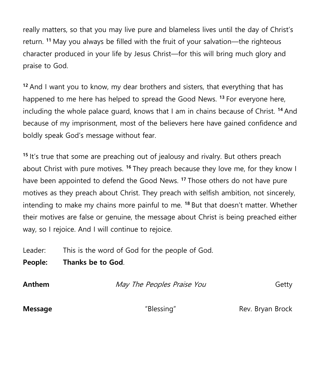really matters, so that you may live pure and blameless lives until the day of Christ's return. **<sup>11</sup>** May you always be filled with the fruit of your salvation—the righteous character produced in your life by Jesus Christ—for this will bring much glory and praise to God.

**<sup>12</sup>** And I want you to know, my dear brothers and sisters, that everything that has happened to me here has helped to spread the Good News. **<sup>13</sup>** For everyone here, including the whole palace guard, knows that I am in chains because of Christ. **<sup>14</sup>** And because of my imprisonment, most of the believers here have gained confidence and boldly speak God's message without fear.

**<sup>15</sup>** It's true that some are preaching out of jealousy and rivalry. But others preach about Christ with pure motives. **<sup>16</sup>** They preach because they love me, for they know I have been appointed to defend the Good News. **<sup>17</sup>** Those others do not have pure motives as they preach about Christ. They preach with selfish ambition, not sincerely, intending to make my chains more painful to me. **<sup>18</sup>** But that doesn't matter. Whether their motives are false or genuine, the message about Christ is being preached either way, so I rejoice. And I will continue to rejoice.

Leader: This is the word of God for the people of God.

**People: Thanks be to God**.

**Anthem May The Peoples Praise You** Getty

**Message Example 20 Telessing Rev. Bryan Brock Message Rev. Bryan Brock**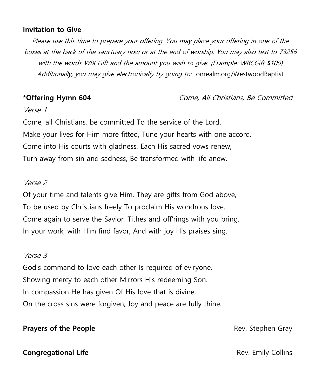#### **Invitation to Give**

Please use this time to prepare your offering. You may place your offering in one of the boxes at the back of the sanctuary now or at the end of worship. You may also text to 73256 with the words WBCGift and the amount you wish to give. (Example: WBCGift \$100) Additionally, you may give electronically by going to: onrealm.org/WestwoodBaptist

#### **\*Offering Hymn 604** Come, All Christians, Be Committed

#### Verse 1

Come, all Christians, be committed To the service of the Lord. Make your lives for Him more fitted, Tune your hearts with one accord. Come into His courts with gladness, Each His sacred vows renew, Turn away from sin and sadness, Be transformed with life anew.

#### Verse 2

Of your time and talents give Him, They are gifts from God above, To be used by Christians freely To proclaim His wondrous love. Come again to serve the Savior, Tithes and off'rings with you bring. In your work, with Him find favor, And with joy His praises sing.

#### Verse 3

God's command to love each other Is required of ev'ryone. Showing mercy to each other Mirrors His redeeming Son. In compassion He has given Of His love that is divine; On the cross sins were forgiven; Joy and peace are fully thine.

#### **Prayers of the People Rev. Stephen Gray Rev. Stephen Gray**

**Congregational Life Congregational Life Rev. Emily Collins**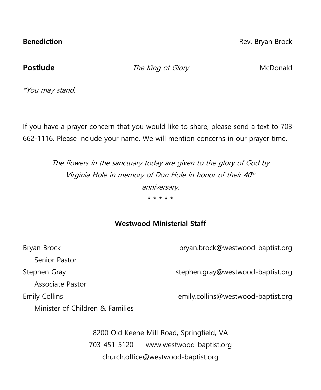**Benediction** Rev. Bryan Brock

**Postlude** The King of Glory McDonald

\*You may stand.

If you have a prayer concern that you would like to share, please send a text to 703- 662-1116. Please include your name. We will mention concerns in our prayer time.

> The flowers in the sanctuary today are given to the glory of God by Virginia Hole in memory of Don Hole in honor of their 40<sup>th</sup> anniversary. **\* \* \* \* \***

### **Westwood Ministerial Staff**

| Bryan Brock                     | bryan.brock@westwood-baptist.org   |
|---------------------------------|------------------------------------|
| Senior Pastor                   |                                    |
| Stephen Gray                    | stephen.gray@westwood-baptist.org  |
| Associate Pastor                |                                    |
| <b>Emily Collins</b>            | emily.collins@westwood-baptist.org |
| Minister of Children & Families |                                    |

8200 Old Keene Mill Road, Springfield, VA 703-451-5120 [www.westwood-baptist.org](http://www.westwood-baptist.org/) [church.office@westwood-baptist.org](mailto:church.office@westwood-baptist.org)